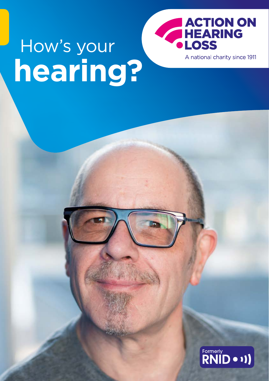

**hearing?** How's your

 $\overbrace{\text{RNID}}^{\text{Formerty}}$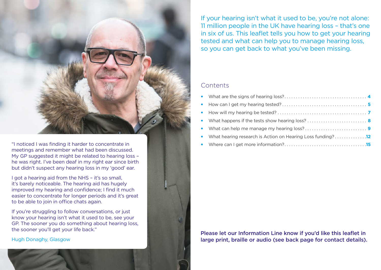

"I noticed I was finding it harder to concentrate in meetings and remember what had been discussed. My GP suggested it might be related to hearing loss – he was right. I've been deaf in my right ear since birth but didn't suspect any hearing loss in my 'good' ear.

I got a hearing aid from the NHS – it's so small, it's barely noticeable. The hearing aid has hugely improved my hearing and confidence; I find it much easier to concentrate for longer periods and it's great to be able to join in office chats again.

If you're struggling to follow conversations, or just know your hearing isn't what it used to be, see your GP. The sooner you do something about hearing loss, the sooner you'll get your life back."

Hugh Donaghy, Glasgow

If your hearing isn't what it used to be, you're not alone: 11 million people in the UK have hearing loss – that's one in six of us. This leaflet tells you how to get your hearing tested and what can help you to manage hearing loss, so you can get back to what you've been missing.

## **Contents**

| • What hearing research is Action on Hearing Loss funding?12 |
|--------------------------------------------------------------|
|                                                              |

Please let our Information Line know if you'd like this leaflet in large print, braille or audio (see [back page](#page-8-0) for contact details).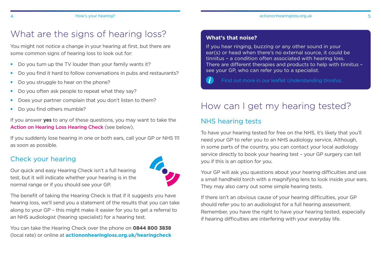# <span id="page-2-0"></span>What are the signs of hearing loss?

You might not notice a change in your hearing at first, but there are some common signs of hearing loss to look out for:

- Do you turn up the TV louder than your family wants it?
- Do you find it hard to follow conversations in pubs and restaurants?
- Do you struggle to hear on the phone?
- Do you often ask people to repeat what they say?

Our quick and easy Hearing Check isn't a full hearing test, but it will indicate whether your hearing is in the

normal range or if you should see your GP.

- Does your partner complain that you don't listen to them?
- Do you find others mumble?

If you answer **yes** to any of these questions, you may want to take the Action on Hearing Loss Hearing Check (see below).

If you suddenly lose hearing in one or both ears, call your GP or NHS 111 as soon as possible.

## Check your hearing

The benefit of taking the Hearing Check is that if it suggests you have hearing loss, we'll send you a statement of the results that you can take along to your GP – this might make it easier for you to get a referral to an NHS audiologist (hearing specialist) for a hearing test.

You can take the Hearing Check over the phone on **[0844 800 3838](tel:+448448003838)** (local rate) or online at **[actiononhearingloss.org.uk/hearingcheck](http://www.actiononhearingloss.org.uk/hearingcheck)**

### **What's that noise?**

If you hear ringing, buzzing or any other sound in your ear(s) or head when there's no external source, it could be tinnitus – a condition often associated with hearing loss. There are different therapies and products to help with tinnitus – see your GP, who can refer you to a specialist.

G

#### Find out more in our leaflet *Understanding tinnitus*.

# How can I get my hearing tested?

## NHS hearing tests

To have your hearing tested for free on the NHS, it's likely that you'll need your GP to refer you to an NHS audiology service. Although, in some parts of the country, you can contact your local audiology service directly to book your hearing test – your GP surgery can tell you if this is an option for you.

Your GP will ask you questions about your hearing difficulties and use a small handheld torch with a magnifying lens to look inside your ears. They may also carry out some simple hearing tests.

If there isn't an obvious cause of your hearing difficulties, your GP should refer you to an audiologist for a full hearing assessment. Remember, you have the right to have your hearing tested, especially if hearing difficulties are interfering with your everyday life.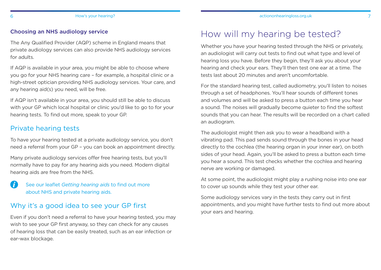#### <span id="page-3-0"></span>Choosing an NHS audiology service

The Any Qualified Provider (AQP) scheme in England means that private audiology services can also provide NHS audiology services for adults.

If AQP is available in your area, you might be able to choose where you go for your NHS hearing care – for example, a hospital clinic or a high-street optician providing NHS audiology services. Your care, and any hearing aid(s) you need, will be free.

If AQP isn't available in your area, you should still be able to discuss with your GP which local hospital or clinic you'd like to go to for your hearing tests. To find out more, speak to your GP.

## Private hearing tests

To have your hearing tested at a private audiology service, you don't need a referral from your GP – you can book an appointment directly.

Many private audiology services offer free hearing tests, but you'll normally have to pay for any hearing aids you need. Modern digital hearing aids are free from the NHS.

See our leaflet *Getting hearing aids* to find out more about NHS and private hearing aids.

## Why it's a good idea to see your GP first

Even if you don't need a referral to have your hearing tested, you may wish to see your GP first anyway, so they can check for any causes of hearing loss that can be easily treated, such as an ear infection or ear-wax blockage.

# How will my hearing be tested?

Whether you have your hearing tested through the NHS or privately. an audiologist will carry out tests to find out what type and level of hearing loss you have. Before they begin, they'll ask you about your hearing and check your ears. They'll then test one ear at a time. The tests last about 20 minutes and aren't uncomfortable.

For the standard hearing test, called audiometry, you'll listen to noises through a set of headphones. You'll hear sounds of different tones and volumes and will be asked to press a button each time you hear a sound. The noises will gradually become quieter to find the softest sounds that you can hear. The results will be recorded on a chart called an audiogram.

The audiologist might then ask you to wear a headband with a vibrating pad. This pad sends sound through the bones in your head directly to the cochlea (the hearing organ in your inner ear), on both sides of your head. Again, you'll be asked to press a button each time you hear a sound. This test checks whether the cochlea and hearing nerve are working or damaged.

At some point, the audiologist might play a rushing noise into one ear to cover up sounds while they test your other ear.

Some audiology services vary in the tests they carry out in first appointments, and you might have further tests to find out more about your ears and hearing.

A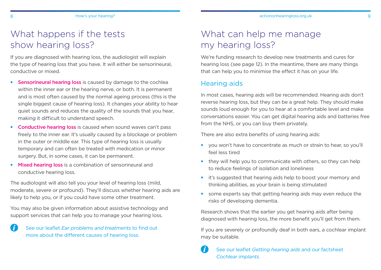<span id="page-4-0"></span>If you are diagnosed with hearing loss, the audiologist will explain the type of hearing loss that you have. It will either be sensorineural, conductive or mixed.

- Sensorineural hearing loss is caused by damage to the cochlea within the inner ear or the hearing nerve, or both. It is permanent and is most often caused by the normal ageing process (this is the single biggest cause of hearing loss). It changes your ability to hear quiet sounds and reduces the quality of the sounds that you hear, making it difficult to understand speech.
- Conductive hearing loss is caused when sound waves can't pass freely to the inner ear. It's usually caused by a blockage or problem in the outer or middle ear. This type of hearing loss is usually temporary and can often be treated with medication or minor surgery. But, in some cases, it can be permanent.
- Mixed hearing loss is a combination of sensorineural and conductive hearing loss.

The audiologist will also tell you your level of hearing loss (mild, moderate, severe or profound). They'll discuss whether hearing aids are likely to help you, or if you could have some other treatment.

You may also be given information about assistive technology and support services that can help you to manage your hearing loss.

See our leaflet *Ear problems and treatments* to find out more about the different causes of hearing loss.

# What can help me manage my hearing loss?

We're funding research to develop new treatments and cures for hearing loss (see [page 12](#page-6-0)). In the meantime, there are many things that can help you to minimise the effect it has on your life.

## Hearing aids

In most cases, hearing aids will be recommended. Hearing aids don't reverse hearing loss, but they can be a great help. They should make sounds loud enough for you to hear at a comfortable level and make conversations easier. You can get digital hearing aids and batteries free from the NHS, or you can buy them privately.

There are also extra benefits of using hearing aids:

- you won't have to concentrate as much or strain to hear, so you'll feel less tired
- they will help you to communicate with others, so they can help to reduce feelings of isolation and loneliness
- it's suggested that hearing aids help to boost your memory and thinking abilities, as your brain is being stimulated
- some experts say that getting hearing aids may even reduce the risks of developing dementia.

Research shows that the earlier you get hearing aids after being diagnosed with hearing loss, the more benefit you'll get from them.

If you are severely or profoundly deaf in both ears, a cochlear implant may be suitable.

```
\mathbf{u}See our leaflet Getting hearing aids and our factsheet 
Cochlear implants.
```
G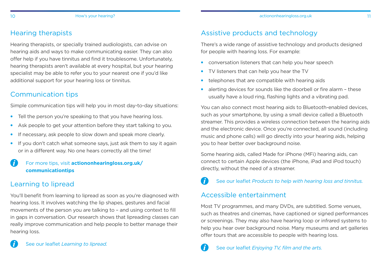## Hearing therapists

Hearing therapists, or specially trained audiologists, can advise on hearing aids and ways to make communicating easier. They can also offer help if you have tinnitus and find it troublesome. Unfortunately, hearing therapists aren't available at every hospital, but your hearing specialist may be able to refer you to your nearest one if you'd like additional support for your hearing loss or tinnitus.

## Communication tips

Simple communication tips will help you in most day-to-day situations:

- Tell the person you're speaking to that you have hearing loss.
- Ask people to get your attention before they start talking to you.
- If necessary, ask people to slow down and speak more clearly.
- If you don't catch what someone says, just ask them to say it again or in a different way. No one hears correctly all the time!

#### G For more tips, visit **[actiononhearingloss.org.uk/](http://actiononhearingloss.org.uk/communicationtips) [communicationtips](http://actiononhearingloss.org.uk/communicationtips)**

## Learning to lipread

 $\mathbf{\hat{i}}$ 

You'll benefit from learning to lipread as soon as you're diagnosed with hearing loss. It involves watching the lip shapes, gestures and facial movements of the person you are talking to – and using context to fill in gaps in conversation. Our research shows that lipreading classes can really improve communication and help people to better manage their hearing loss.

## Assistive products and technology

There's a wide range of assistive technology and products designed for people with hearing loss. For example:

- conversation listeners that can help you hear speech
- TV listeners that can help you hear the TV
- telephones that are compatible with hearing aids
- alerting devices for sounds like the doorbell or fire alarm these usually have a loud ring, flashing lights and a vibrating pad.

You can also connect most hearing aids to Bluetooth-enabled devices, such as your smartphone, by using a small device called a Bluetooth streamer. This provides a wireless connection between the hearing aids and the electronic device. Once you're connected, all sound (including music and phone calls) will go directly into your hearing aids, helping you to hear better over background noise.

Some hearing aids, called Made for iPhone (MFi) hearing aids, can connect to certain Apple devices (the iPhone, iPad and iPod touch) directly, without the need of a streamer.

#### $\mathbf{\hat{i}}$ See our leaflet *Products to help with hearing loss and tinnitus.*

## Accessible entertainment

Most TV programmes, and many DVDs, are subtitled. Some venues, such as theatres and cinemas, have captioned or signed performances or screenings. They may also have hearing loop or infrared systems to help you hear over background noise. Many museums and art galleries offer tours that are accessible to people with hearing loss.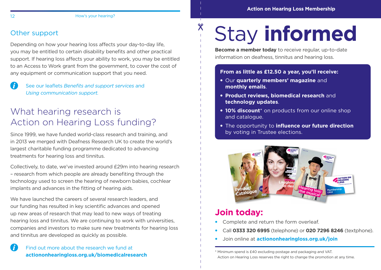## Other support

Depending on how your hearing loss affects your day-to-day life, you may be entitled to certain disability benefits and other practical support. If hearing loss affects your ability to work, you may be entitled to an Access to Work grant from the government, to cover the cost of any equipment or communication support that you need.

 $\mathbf{G}$ See our leaflets *Benefits and support services* and *Using communication support.*

# What hearing research is Action on Hearing Loss funding?

Since 1999, we have funded world-class research and training, and in 2013 we merged with Deafness Research UK to create the world's largest charitable funding programme dedicated to advancing treatments for hearing loss and tinnitus.

Collectively, to date, we've invested around £29m into hearing research – research from which people are already benefiting through the technology used to screen the hearing of newborn babies, cochlear implants and advances in the fitting of hearing aids.

We have launched the careers of several research leaders, and our funding has resulted in key scientific advances and opened up new areas of research that may lead to new ways of treating hearing loss and tinnitus. We are continuing to work with universities, companies and investors to make sure new treatments for hearing loss and tinnitus are developed as quickly as possible.

#### n Find out more about the research we fund at **[actiononhearingloss.org.uk/biomedicalresearch](http://actiononhearingloss.org.uk/biomedicalresearch)**

# Stay **informed**

**Become a member today** to receive regular, up-to-date information on deafness, tinnitus and hearing loss.

### **From as little as £12.50 a year, you'll receive:**

- Our **quarterly members' magazine** and **monthly emails**.
- **Product reviews, biomedical research** and **technology updates**.
- **10% discount**\* on products from our online shop and catalogue.
- The opportunity to **influence our future direction** by voting in Trustee elections.



# **Join today:**

 $\chi$ 

- Complete and return the form overleaf.
- Call **0333 320 6995** (telephone) or **[020 7296 8246](tel:+442072968246)** (textphone).
- Join online at **[actiononhearingloss.org.uk/join](http://www.actiononhearingloss.org.uk/join)**

\* Minimum spend is £40 excluding postage and packaging and VAT. Action on Hearing Loss reserves the right to change the promotion at any time.

<span id="page-6-0"></span>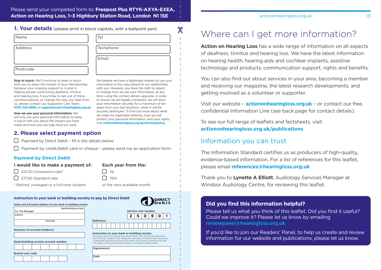#### <span id="page-7-0"></span>Please send your completed form to: **Freepost Plus RTYK-AXYA-EXEA, Action on Hearing Loss, 1–3 Highbury Station Road, London N1 1SE**

|  |  |  |  |  |  |  | 1. Your details (please print in block capitals, with a ballpoint pen) |
|--|--|--|--|--|--|--|------------------------------------------------------------------------|
|--|--|--|--|--|--|--|------------------------------------------------------------------------|

| l Name   | Tel       |
|----------|-----------|
| Address  | Textphone |
|          | Email     |
| Postcode |           |

**Stay in touch:** We'll continue to keep in touch with you to share the impact of your Membership. because your ongoing support is crucial in helping people confronting deafness, tinnitus and hearing loss. If you'd like to opt out of these communications, or change the way you hear from us, please contact our Supporter Care Team: **0333 320 6995** or **supportercare@hearingloss.org.uk**

**How we use your personal information:** We will only use your personal information to keep in touch with you about the impact you have made and how you can help fund our work.

We believe we have a legitimate interest to use your information in this way, based on our relationship with you. However, you have the right to object, or change how we use your information, at any time, using the contact details opposite. In order to ensure we are legally compliant, we will store your information securely for a maximum of ten years from your last donation, when it will be securely destroyed. To find out more about what we mean by legitimate interests, how we will protect your personal information, and your rights, visit **actiononhearingloss.org.uk/privacypolicy**

 $\chi$ 

#### **2. Please select payment option**

 $\Box$  Payment by Direct Debit - fill in the details below.

 $\Box$  Payment by credit/debit card or cheque - please send me an application form.

#### **Payment by Direct Debit**

| I would like to make a payment of: | <b>Each year from the:</b> |
|------------------------------------|----------------------------|
| $\Box$ £12.50 Concession rate*     | $\vert$   1st              |
| $\Box$ £17.50 Standard rate        | $\Box$ 15th                |

\* Retired, unwaged or a full-time student

#### **Instruction to your bank or building society**

| Name and full postal address of your bank or building society |
|---------------------------------------------------------------|
|---------------------------------------------------------------|

|                        | <b>Bank/building society</b> |
|------------------------|------------------------------|
| <b>To: The Manager</b> |                              |
| <b>Address</b>         |                              |
|                        |                              |
| Postcode               |                              |
|                        |                              |

| Bank/building society account number |  |  |
|--------------------------------------|--|--|

| <b>Branch sort code</b> |  |  |  |
|-------------------------|--|--|--|

|                                                                                                                                                                                                                                                                                                                                                                                  |           |  |  |  |  |  |   |    | of the next available month |  |   |  |
|----------------------------------------------------------------------------------------------------------------------------------------------------------------------------------------------------------------------------------------------------------------------------------------------------------------------------------------------------------------------------------|-----------|--|--|--|--|--|---|----|-----------------------------|--|---|--|
| to pay by Direct Debit '<br><b>BEECT</b>                                                                                                                                                                                                                                                                                                                                         |           |  |  |  |  |  |   |    |                             |  |   |  |
|                                                                                                                                                                                                                                                                                                                                                                                  |           |  |  |  |  |  |   |    | Service user number         |  |   |  |
|                                                                                                                                                                                                                                                                                                                                                                                  |           |  |  |  |  |  | 2 | 5. | O                           |  | O |  |
|                                                                                                                                                                                                                                                                                                                                                                                  | Reference |  |  |  |  |  |   |    |                             |  |   |  |
|                                                                                                                                                                                                                                                                                                                                                                                  |           |  |  |  |  |  |   |    |                             |  |   |  |
| Instruction to your bank or building society<br>Please pay Action on Hearing Loss Direct Debits from the account detailed in<br>this Instruction subject to the safeguards assured by the Direct Debit Guarantee.<br>I understand that this Instruction may remain with Action on Hearing Loss and.<br>if so, details will be passed electronically to my bank/building society. |           |  |  |  |  |  |   |    |                             |  |   |  |
| Signature(s)                                                                                                                                                                                                                                                                                                                                                                     |           |  |  |  |  |  |   |    |                             |  |   |  |
| Date                                                                                                                                                                                                                                                                                                                                                                             |           |  |  |  |  |  |   |    |                             |  |   |  |

#### [actiononhearingloss.org.uk](http://actiononhearingloss.org.uk) 15

# Where can I get more information?

**Action on Hearing Loss** has a wide range of information on all aspects of deafness, tinnitus and hearing loss. We have the latest information on hearing health, hearing aids and cochlear implants, assistive technology and products, communication support, rights and benefits.

You can also find out about services in your area, becoming a member and receiving our magazine, the latest research developments, and getting involved as a volunteer or supporter.

Visit our website – **[actiononhearingloss.org.uk](http://actiononhearingloss.org.uk)** – or contact our free, confidential Information Line (see back page for contact details).

To see our full range of leaflets and factsheets, visit **[actiononhearingloss.org.uk/publications](http://actiononhearingloss.org.uk/publications)**

## Information you can trust

The Information Standard certifies us as producers of high-quality, evidence-based information. For a list of references for this leaflet, please email **[references@hearingloss.org.uk](mailto:references%40hearingloss.org.uk?subject=)**

Thank you to **Lynette A Elliott**, Audiology Services Manager at Windsor Audiology Centre, for reviewing this leaflet.

#### **Did you find this information helpful?**

Please tell us what you think of this leaflet. Did you find it useful? Could we improve it? Please let us know by emailing **reviewpanel@hearingloss.org.uk**

If you'd like to join our Readers' Panel, to help us create and review information for our website and publications, please let us know.